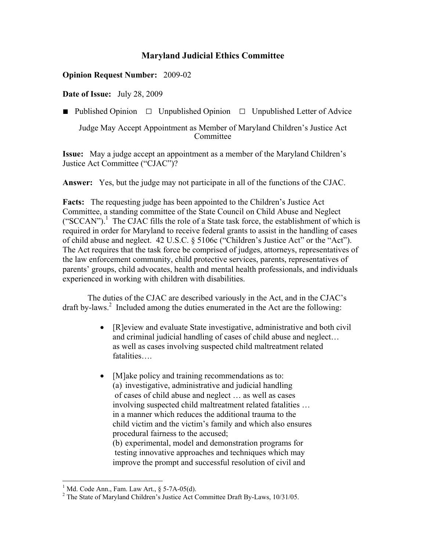# **Maryland Judicial Ethics Committee**

## **Opinion Request Number:** 2009-02

**Date of Issue:** July 28, 2009

■ Published Opinion □ Unpublished Opinion □ Unpublished Letter of Advice

Judge May Accept Appointment as Member of Maryland Children's Justice Act **Committee** 

**Issue:** May a judge accept an appointment as a member of the Maryland Children's Justice Act Committee ("CJAC")?

**Answer:** Yes, but the judge may not participate in all of the functions of the CJAC.

**Facts:** The requesting judge has been appointed to the Children's Justice Act Committee, a standing committee of the State Council on Child Abuse and Neglect ("SCCAN").<sup>1</sup> The CJAC fills the role of a State task force, the establishment of which is required in order for Maryland to receive federal grants to assist in the handling of cases of child abuse and neglect. 42 U.S.C. § 5106c ("Children's Justice Act" or the "Act"). The Act requires that the task force be comprised of judges, attorneys, representatives of the law enforcement community, child protective services, parents, representatives of parents' groups, child advocates, health and mental health professionals, and individuals experienced in working with children with disabilities.

The duties of the CJAC are described variously in the Act, and in the CJAC's draft by-laws.<sup>2</sup> Included among the duties enumerated in the Act are the following:

- [R]eview and evaluate State investigative, administrative and both civil and criminal judicial handling of cases of child abuse and neglect… as well as cases involving suspected child maltreatment related fatalities….
- [M]ake policy and training recommendations as to: (a) investigative, administrative and judicial handling of cases of child abuse and neglect … as well as cases involving suspected child maltreatment related fatalities … in a manner which reduces the additional trauma to the child victim and the victim's family and which also ensures procedural fairness to the accused; (b) experimental, model and demonstration programs for testing innovative approaches and techniques which may improve the prompt and successful resolution of civil and

<sup>&</sup>lt;sup>1</sup> Md. Code Ann., Fam. Law Art., § 5-7A-05(d).

<sup>&</sup>lt;sup>2</sup> The State of Maryland Children's Justice Act Committee Draft By-Laws,  $10/31/05$ .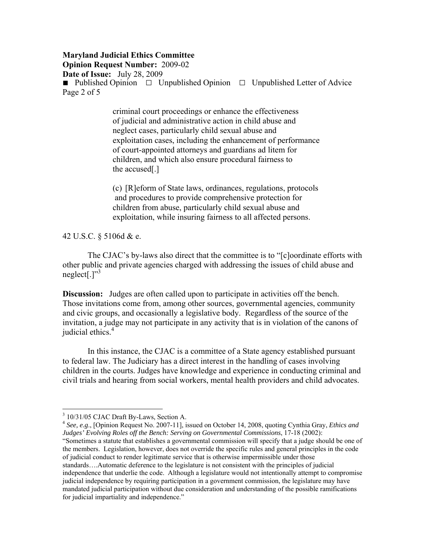# **Maryland Judicial Ethics Committee**

**Opinion Request Number:** 2009-02

**Date of Issue:** July 28, 2009

■ Published Opinion □ Unpublished Opinion □ Unpublished Letter of Advice Page 2 of 5

> criminal court proceedings or enhance the effectiveness of judicial and administrative action in child abuse and neglect cases, particularly child sexual abuse and exploitation cases, including the enhancement of performance of court-appointed attorneys and guardians ad litem for children, and which also ensure procedural fairness to the accused[.]

> (c) [R]eform of State laws, ordinances, regulations, protocols and procedures to provide comprehensive protection for children from abuse, particularly child sexual abuse and exploitation, while insuring fairness to all affected persons.

42 U.S.C. § 5106d & e.

The CJAC's by-laws also direct that the committee is to "[c]oordinate efforts with other public and private agencies charged with addressing the issues of child abuse and neglect[ $']^{3}$ 

**Discussion:** Judges are often called upon to participate in activities off the bench. Those invitations come from, among other sources, governmental agencies, community and civic groups, and occasionally a legislative body. Regardless of the source of the invitation, a judge may not participate in any activity that is in violation of the canons of judicial ethics.<sup>4</sup>

In this instance, the CJAC is a committee of a State agency established pursuant to federal law. The Judiciary has a direct interest in the handling of cases involving children in the courts. Judges have knowledge and experience in conducting criminal and civil trials and hearing from social workers, mental health providers and child advocates.

 $\overline{a}$ 

<sup>4</sup> *See, e.g*., [Opinion Request No. 2007-11], issued on October 14, 2008, quoting Cynthia Gray, *Ethics and Judges' Evolving Roles off the Bench: Serving on Governmental Commissions*, 17-18 (2002):

"Sometimes a statute that establishes a governmental commission will specify that a judge should be one of the members. Legislation, however, does not override the specific rules and general principles in the code of judicial conduct to render legitimate service that is otherwise impermissible under those standards….Automatic deference to the legislature is not consistent with the principles of judicial independence that underlie the code. Although a legislature would not intentionally attempt to compromise judicial independence by requiring participation in a government commission, the legislature may have mandated judicial participation without due consideration and understanding of the possible ramifications for judicial impartiality and independence."

<sup>&</sup>lt;sup>3</sup> 10/31/05 CJAC Draft By-Laws, Section A.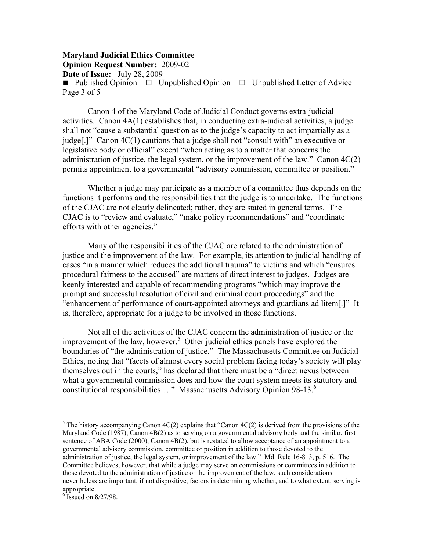#### **Maryland Judicial Ethics Committee Opinion Request Number:** 2009-02 **Date of Issue:** July 28, 2009 ■ Published Opinion □ Unpublished Opinion □ Unpublished Letter of Advice Page 3 of 5

Canon 4 of the Maryland Code of Judicial Conduct governs extra-judicial activities. Canon 4A(1) establishes that, in conducting extra-judicial activities, a judge shall not "cause a substantial question as to the judge's capacity to act impartially as a judge[.]" Canon 4C(1) cautions that a judge shall not "consult with" an executive or legislative body or official" except "when acting as to a matter that concerns the administration of justice, the legal system, or the improvement of the law." Canon 4C(2) permits appointment to a governmental "advisory commission, committee or position."

Whether a judge may participate as a member of a committee thus depends on the functions it performs and the responsibilities that the judge is to undertake. The functions of the CJAC are not clearly delineated; rather, they are stated in general terms. The CJAC is to "review and evaluate," "make policy recommendations" and "coordinate efforts with other agencies."

Many of the responsibilities of the CJAC are related to the administration of justice and the improvement of the law. For example, its attention to judicial handling of cases "in a manner which reduces the additional trauma" to victims and which "ensures procedural fairness to the accused" are matters of direct interest to judges. Judges are keenly interested and capable of recommending programs "which may improve the prompt and successful resolution of civil and criminal court proceedings" and the "enhancement of performance of court-appointed attorneys and guardians ad litem[.]" It is, therefore, appropriate for a judge to be involved in those functions.

Not all of the activities of the CJAC concern the administration of justice or the improvement of the law, however.<sup>5</sup> Other judicial ethics panels have explored the boundaries of "the administration of justice." The Massachusetts Committee on Judicial Ethics, noting that "facets of almost every social problem facing today's society will play themselves out in the courts," has declared that there must be a "direct nexus between what a governmental commission does and how the court system meets its statutory and constitutional responsibilities...." Massachusetts Advisory Opinion 98-13.<sup>6</sup>

 $\overline{a}$ 

<sup>&</sup>lt;sup>5</sup> The history accompanying Canon  $4C(2)$  explains that "Canon  $4C(2)$  is derived from the provisions of the Maryland Code (1987), Canon 4B(2) as to serving on a governmental advisory body and the similar, first sentence of ABA Code (2000), Canon 4B(2), but is restated to allow acceptance of an appointment to a governmental advisory commission, committee or position in addition to those devoted to the administration of justice, the legal system, or improvement of the law." Md. Rule 16-813, p. 516. The Committee believes, however, that while a judge may serve on commissions or committees in addition to those devoted to the administration of justice or the improvement of the law, such considerations nevertheless are important, if not dispositive, factors in determining whether, and to what extent, serving is appropriate.

 $6$ <sup>6</sup> Issued on 8/27/98.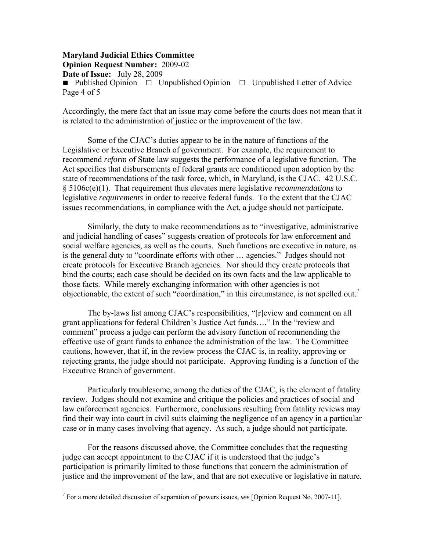**Maryland Judicial Ethics Committee Opinion Request Number:** 2009-02 **Date of Issue:** July 28, 2009 ■ Published Opinion □ Unpublished Opinion □ Unpublished Letter of Advice Page 4 of 5

Accordingly, the mere fact that an issue may come before the courts does not mean that it is related to the administration of justice or the improvement of the law.

Some of the CJAC's duties appear to be in the nature of functions of the Legislative or Executive Branch of government. For example, the requirement to recommend *reform* of State law suggests the performance of a legislative function. The Act specifies that disbursements of federal grants are conditioned upon adoption by the state of recommendations of the task force, which, in Maryland, is the CJAC. 42 U.S.C. § 5106c(e)(1). That requirement thus elevates mere legislative *recommendations* to legislative *requirements* in order to receive federal funds. To the extent that the CJAC issues recommendations, in compliance with the Act, a judge should not participate.

Similarly, the duty to make recommendations as to "investigative, administrative and judicial handling of cases" suggests creation of protocols for law enforcement and social welfare agencies, as well as the courts. Such functions are executive in nature, as is the general duty to "coordinate efforts with other … agencies." Judges should not create protocols for Executive Branch agencies. Nor should they create protocols that bind the courts; each case should be decided on its own facts and the law applicable to those facts. While merely exchanging information with other agencies is not objectionable, the extent of such "coordination," in this circumstance, is not spelled out.<sup>7</sup>

The by-laws list among CJAC's responsibilities, "[r]eview and comment on all grant applications for federal Children's Justice Act funds…." In the "review and comment" process a judge can perform the advisory function of recommending the effective use of grant funds to enhance the administration of the law. The Committee cautions, however, that if, in the review process the CJAC is, in reality, approving or rejecting grants, the judge should not participate. Approving funding is a function of the Executive Branch of government.

Particularly troublesome, among the duties of the CJAC, is the element of fatality review. Judges should not examine and critique the policies and practices of social and law enforcement agencies. Furthermore, conclusions resulting from fatality reviews may find their way into court in civil suits claiming the negligence of an agency in a particular case or in many cases involving that agency. As such, a judge should not participate.

For the reasons discussed above, the Committee concludes that the requesting judge can accept appointment to the CJAC if it is understood that the judge's participation is primarily limited to those functions that concern the administration of justice and the improvement of the law, and that are not executive or legislative in nature.

<u>.</u>

<sup>7</sup> For a more detailed discussion of separation of powers issues, *see* [Opinion Request No. 2007-11].